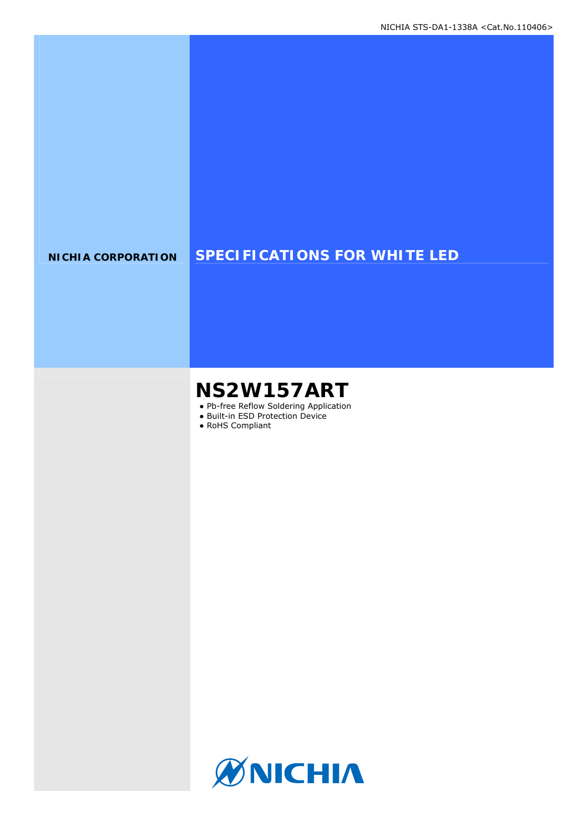### **NICHIA CORPORATION SPECIFICATIONS FOR WHITE LED**

# **NS2W157ART**

- Pb-free Reflow Soldering Application
- Built-in ESD Protection Device
- RoHS Compliant

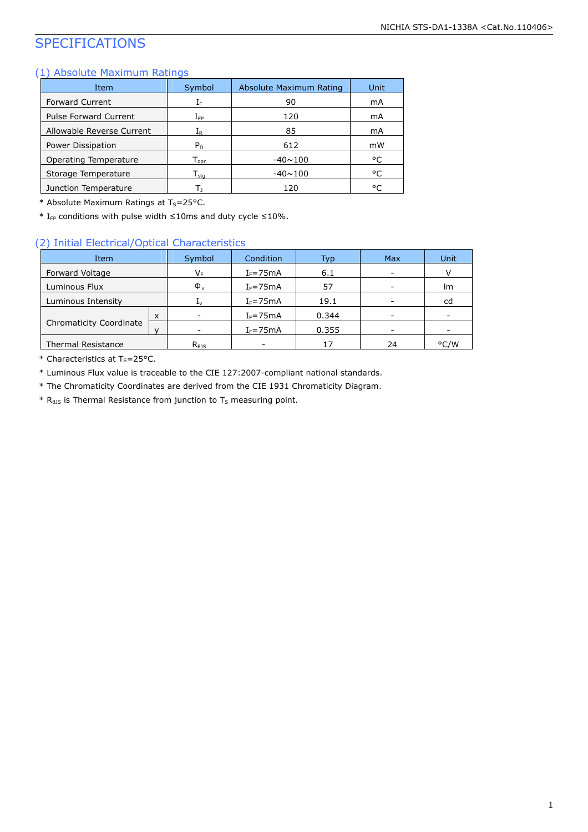## SPECIFICATIONS

#### (1) Absolute Maximum Ratings

| Item                         | Symbol                       | Absolute Maximum Rating | Unit |
|------------------------------|------------------------------|-------------------------|------|
| <b>Forward Current</b>       | ΙF                           | 90                      | mA   |
| <b>Pulse Forward Current</b> | $\rm I_{FP}$                 | 120                     | mA   |
| Allowable Reverse Current    | ${\rm I}_{{\sf R}}$          | 85                      | mA   |
| Power Dissipation            | $P_D$                        | 612                     | mW   |
| Operating Temperature        | ${\mathsf T}_{\text{onr}}$   | $-40 \sim 100$          | °C   |
| Storage Temperature          | ${\mathsf T}_{\textsf{sta}}$ | $-40 \sim 100$          | °C   |
| Junction Temperature         |                              | 120                     | °C   |

\* Absolute Maximum Ratings at  $T_S = 25$ °C.

\* I<sub>FP</sub> conditions with pulse width  $\leq$ 10ms and duty cycle  $\leq$ 10%.

#### (2) Initial Electrical/Optical Characteristics

| Item                           |  | Symbol                     | Condition    | Typ   | <b>Max</b> | Unit |
|--------------------------------|--|----------------------------|--------------|-------|------------|------|
| Forward Voltage                |  | V⊧                         | $I_F = 75mA$ | 6.1   |            |      |
| Luminous Flux                  |  | $\Phi_{\rm v}$             | $I_F = 75mA$ | 57    |            | Im   |
| Luminous Intensity             |  | Īν                         | $I_F = 75mA$ | 19.1  |            | cd   |
|                                |  |                            | $I_F = 75mA$ | 0.344 |            |      |
| <b>Chromaticity Coordinate</b> |  | ۰                          | $I_F = 75mA$ | 0.355 |            |      |
| <b>Thermal Resistance</b>      |  | $R_{\theta}$ <sub>15</sub> | -            | 17    | 24         | °C/W |

\* Characteristics at  $T_S = 25$ °C.

\* Luminous Flux value is traceable to the CIE 127:2007-compliant national standards.

\* The Chromaticity Coordinates are derived from the CIE 1931 Chromaticity Diagram.

 $*$  R<sub>0JS</sub> is Thermal Resistance from junction to T<sub>S</sub> measuring point.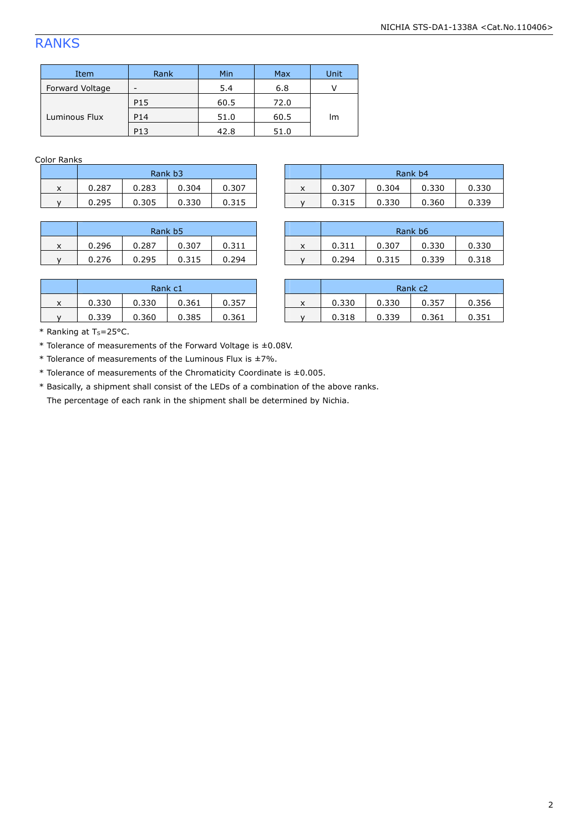### RANKS

| Item            | Rank            | Min  | Max  | Unit |
|-----------------|-----------------|------|------|------|
| Forward Voltage | -               | 5.4  | 6.8  |      |
|                 | P <sub>15</sub> | 60.5 | 72.0 |      |
| Luminous Flux   | P14             | 51.0 | 60.5 | Im   |
|                 | P13             | 42.8 | 51.0 |      |

Color Ranks

| Rank b3 |       |       |       |  |  |  |
|---------|-------|-------|-------|--|--|--|
| 0.287   | 0.283 | 0.304 | 0.307 |  |  |  |
| በ ንዓ5   | 0.305 | 0.330 | 0.315 |  |  |  |

| Rank b <sub>5</sub> |       |       |       |  |  |
|---------------------|-------|-------|-------|--|--|
| 0.296               | 0.287 | 0.307 | 0.311 |  |  |
| 0.276               | 0.295 | 0.315 | በ 294 |  |  |

| 0.283<br>0.330<br>0.304<br>0.307<br>0.287<br>0.307<br>J.304<br>$\overline{\phantom{a}}$<br>$\cdot$<br>^<br>$\lambda$ | Rank b3 |  |  |  |  | Rank b4 |       |
|----------------------------------------------------------------------------------------------------------------------|---------|--|--|--|--|---------|-------|
|                                                                                                                      |         |  |  |  |  |         | 0.330 |
| 0.305<br>0.330<br>0.295<br>0.330<br>0.360<br>0.315<br>0.315                                                          |         |  |  |  |  |         | 0.339 |

|        | Rank b5 |       |       |       |        |       | Rank b6 |       |                 |
|--------|---------|-------|-------|-------|--------|-------|---------|-------|-----------------|
| v<br>^ | 0.296   | 0.287 | 0.307 | 0.311 | $\sim$ | 0.311 | 0.307   | 0.330 | 0.330           |
|        | 0.276   | 0.295 | 0.315 | 0.294 |        | 0.294 | 0.315   | 0.339 | በ 31 R<br>0.910 |

| Rank c1 |       |       |       |  |  |
|---------|-------|-------|-------|--|--|
| 0.330   | 0.330 | 0.361 | 0.357 |  |  |
| 0.339   | 0.360 | 0.385 | 0.361 |  |  |

|         | Rank c1 |       |       |       |   |       |       | Rank c <sub>2</sub> |       |
|---------|---------|-------|-------|-------|---|-------|-------|---------------------|-------|
| v<br>х. | 0.330   | 0.330 | 0.361 | 0.357 | ́ | 0.330 | 0.330 | 0.357               | 0.356 |
|         | 0.339   | 0.360 | 0.385 | 0.361 |   | 0.318 | 0.339 | 0.361               | 0.351 |

\* Ranking at  $T_S = 25$ °C.

\* Tolerance of measurements of the Forward Voltage is ±0.08V.

 $*$  Tolerance of measurements of the Luminous Flux is  $\pm$ 7%.

\* Tolerance of measurements of the Chromaticity Coordinate is ±0.005.

 \* Basically, a shipment shall consist of the LEDs of a combination of the above ranks. The percentage of each rank in the shipment shall be determined by Nichia.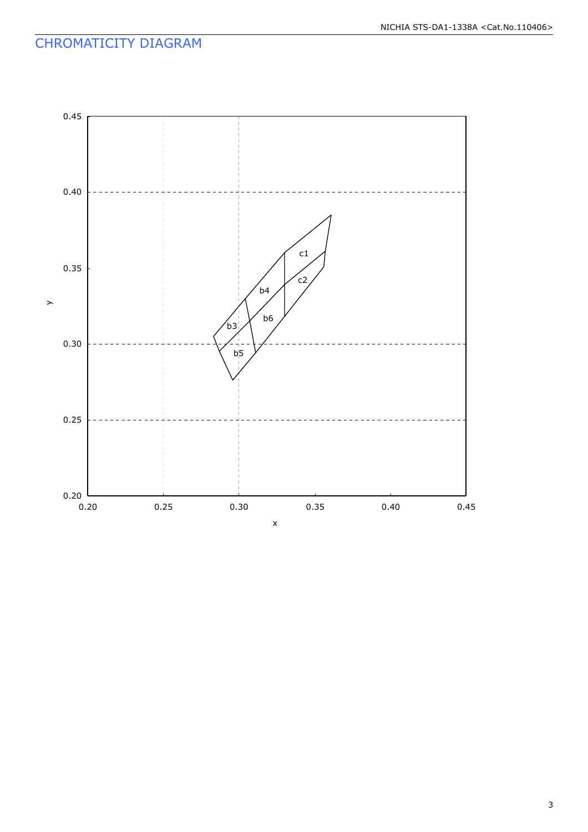### CHROMATICITY DIAGRAM

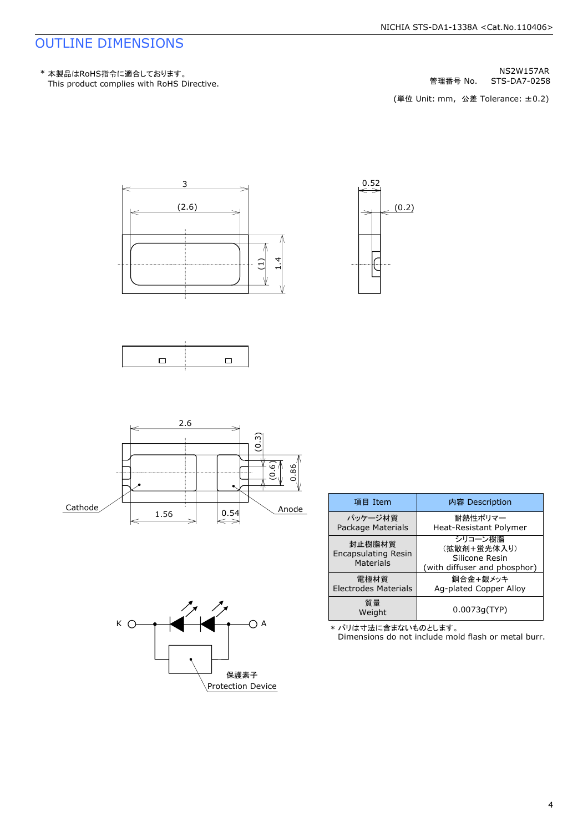### OUTLINE DIMENSIONS

This product complies with RoHS Directive. \* 本製品はRoHS指令に適合しております。

STS-DA7-0258 NS2W157AR 管理番号 No.

(単位 Unit: mm, 公差 Tolerance: ±0.2)







|         |      | 2.6 |      | ణ                       |
|---------|------|-----|------|-------------------------|
|         |      |     |      | S                       |
|         |      |     |      | 0.86<br>(0.6)<br>1----- |
|         |      |     |      |                         |
|         |      |     |      |                         |
| Cathode | 1.56 |     | 0.54 | Anode                   |

| К | A                        |
|---|--------------------------|
|   |                          |
|   | 保護素子                     |
|   | <b>Protection Device</b> |

| 項目 Item                                           | 内容 Description                                                           |
|---------------------------------------------------|--------------------------------------------------------------------------|
| パッケージ材質<br>Package Materials                      | 耐熱性ポリマー<br>Heat-Resistant Polymer                                        |
| 封止樹脂材質<br><b>Encapsulating Resin</b><br>Materials | シリコーン樹脂<br>(拡散剤+蛍光体入り)<br>Silicone Resin<br>(with diffuser and phosphor) |
| 雷極材質<br><b>Electrodes Materials</b>               | 銅合金+銀メッキ<br>Ag-plated Copper Alloy                                       |
| 質量<br>Weight                                      | 0.0073q(TYP)                                                             |

\* バリは寸法に含まないものとします。

Dimensions do not include mold flash or metal burr.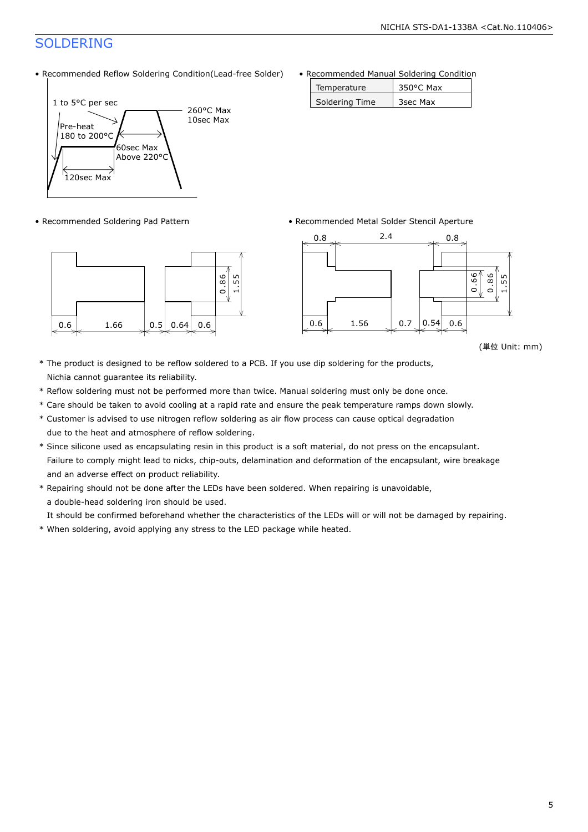## SOLDERING

• Recommended Reflow Soldering Condition(Lead-free Solder)





• Recommended Manual Soldering Condition

| Temperature    | 350°C Max |
|----------------|-----------|
| Soldering Time | 3sec Max  |

• Recommended Soldering Pad Pattern • Recommended Metal Solder Stencil Aperture



(単位 Unit: mm)

- \* The product is designed to be reflow soldered to a PCB. If you use dip soldering for the products, Nichia cannot guarantee its reliability.
- \* Reflow soldering must not be performed more than twice. Manual soldering must only be done once.
- \* Care should be taken to avoid cooling at a rapid rate and ensure the peak temperature ramps down slowly.
- \* Customer is advised to use nitrogen reflow soldering as air flow process can cause optical degradation due to the heat and atmosphere of reflow soldering.
- \* Since silicone used as encapsulating resin in this product is a soft material, do not press on the encapsulant. Failure to comply might lead to nicks, chip-outs, delamination and deformation of the encapsulant, wire breakage and an adverse effect on product reliability.
- \* Repairing should not be done after the LEDs have been soldered. When repairing is unavoidable, a double-head soldering iron should be used.

It should be confirmed beforehand whether the characteristics of the LEDs will or will not be damaged by repairing.

\* When soldering, avoid applying any stress to the LED package while heated.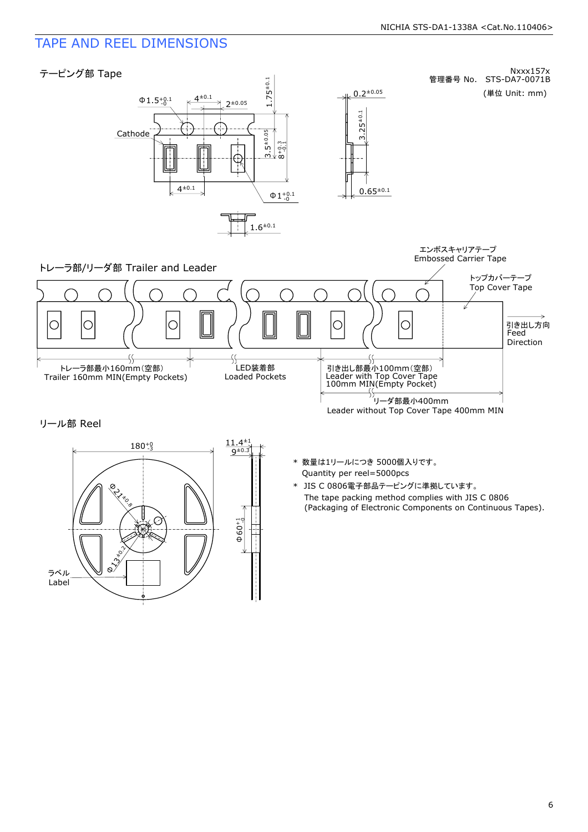### TAPE AND REEL DIMENSIONS



リール部 Reel



- Quantity per reel=5000pcs \* 数量は1リールにつき 5000個入りです。
- The tape packing method complies with JIS C 0806 (Packaging of Electronic Components on Continuous Tapes). \* JIS C 0806電子部品テーピングに準拠しています。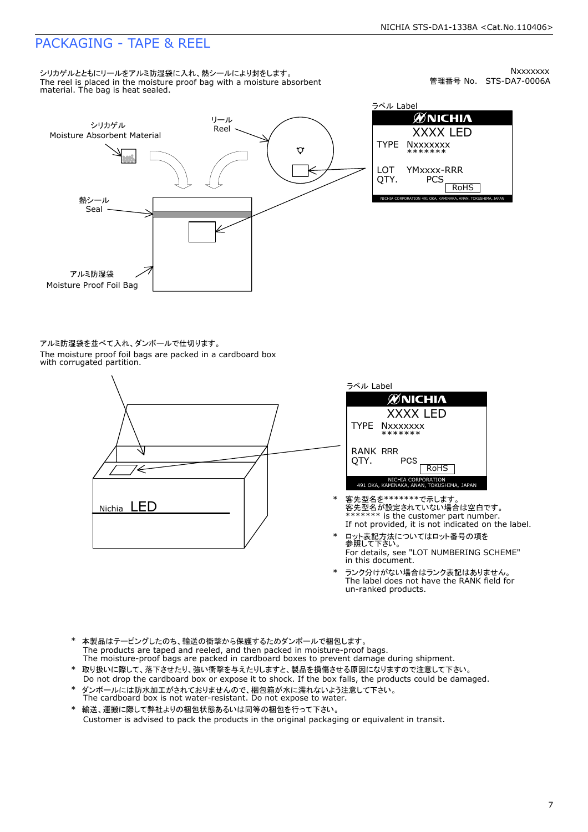### PACKAGING - TAPE & REEL

シリカゲルとともにリールをアルミ防湿袋に入れ、熱シールにより封をします。 The reel is placed in the moisture proof bag with a moisture absorbent material. The bag is heat sealed.

管理番号 No. STS-DA7-0006A **Nxxxxxxx** 



ラベル Label **ØNICHIA** XXXX LED TYPE **Nxxxxxxx** \*\*\*\*\*\*\* LOT YMxxxx-RRR QTY. **PCS** RoHS NICHIA CORPORATION 491 OKA, KAMINAKA, ANAN, TOKUSHIMA, JAPAN

アルミ防湿袋を並べて入れ、ダンボールで仕切ります。 The moisture proof foil bags are packed in a cardboard box with corrugated partition.



| ラベル Label        |                                                                 |
|------------------|-----------------------------------------------------------------|
|                  | ØNICHIA                                                         |
|                  | XXXX LED                                                        |
|                  | TYPE Nxxxxxxx<br>*******                                        |
| RANK RRR<br>OTY. | PCS<br><b>RoHS</b>                                              |
|                  | NICHIA CORPORATION<br>491 OKA, KAMINAKA, ANAN, TOKUSHIMA, JAPAN |

- If not provided, it is not indicated on the label. \*\*\*\*\*\*\*\* is the customer part number. 客先型名が設定されていない場合は空白です。 客先型名を\*\*\*\*\*\*\*で示します
- \* ロット表記方法についてはロット番号の項を<br> 参照して下さい。 For details, see "LOT NUMBERING SCHEME" in this document.
- The label does not have the RANK field for un-ranked products. \* ランク分けがない場合はランク表記はありません。
- The products are taped and reeled, and then packed in moisture-proof bags. The moisture-proof bags are packed in cardboard boxes to prevent damage during shipment. \* 本製品はテーピングしたのち、輸送の衝撃から保護するためダンボールで梱包します。
- Do not drop the cardboard box or expose it to shock. If the box falls, the products could be damaged. 取り扱いに際して、落下させたり、強い衝撃を与えたりしますと、製品を損傷させる原因になりますので注意して下さい。
- The cardboard box is not water-resistant. Do not expose to water. ダンボールには防水加工がされておりませんので、梱包箱が水に濡れないよう注意して下さい。
- Customer is advised to pack the products in the original packaging or equivalent in transit. \* 輸送、運搬に際して弊社よりの梱包状態あるいは同等の梱包を行って下さい。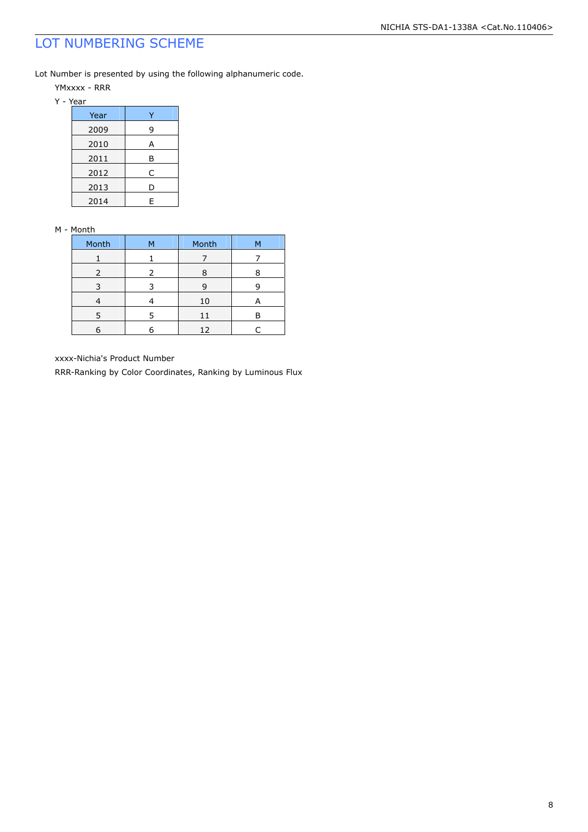## LOT NUMBERING SCHEME

Lot Number is presented by using the following alphanumeric code.

YMxxxx - RRR

Y - Year

| Year |   |
|------|---|
| 2009 | 9 |
| 2010 | А |
| 2011 | В |
| 2012 | C |
| 2013 | D |
| 2014 | F |

#### M - Month

| Month         | м | Month |  |
|---------------|---|-------|--|
|               |   |       |  |
| $\mathcal{L}$ |   | ႙     |  |
|               |   | g     |  |
|               |   | 10    |  |
|               |   | 11    |  |
|               |   | 12    |  |

xxxx-Nichia's Product Number

RRR-Ranking by Color Coordinates, Ranking by Luminous Flux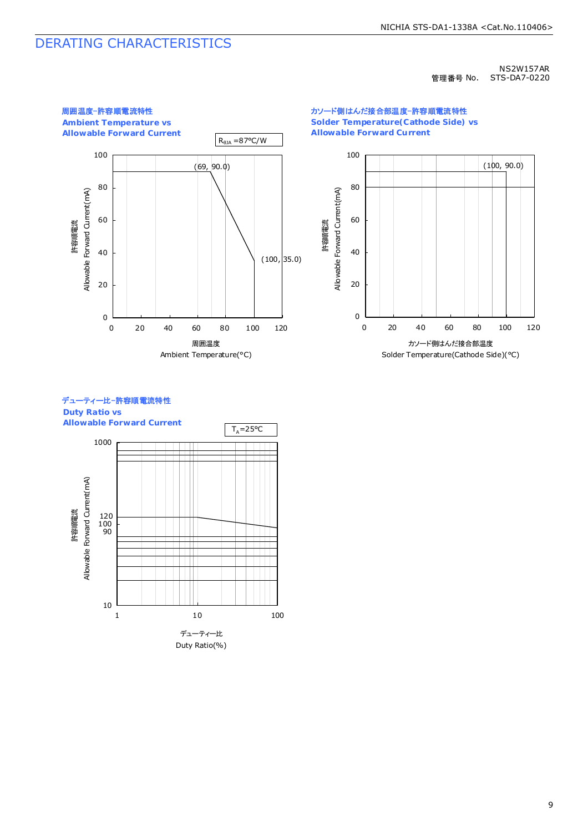### DERATING CHARACTERISTICS

#### NS2W157AR 管理番号 No. STS-DA7-0220



カソード側はんだ接合部温度-許容順電流特性 **Solder Temperature(Cathode Side) vs Allowable Forward Current**



### デューティー比-許容順電流特性

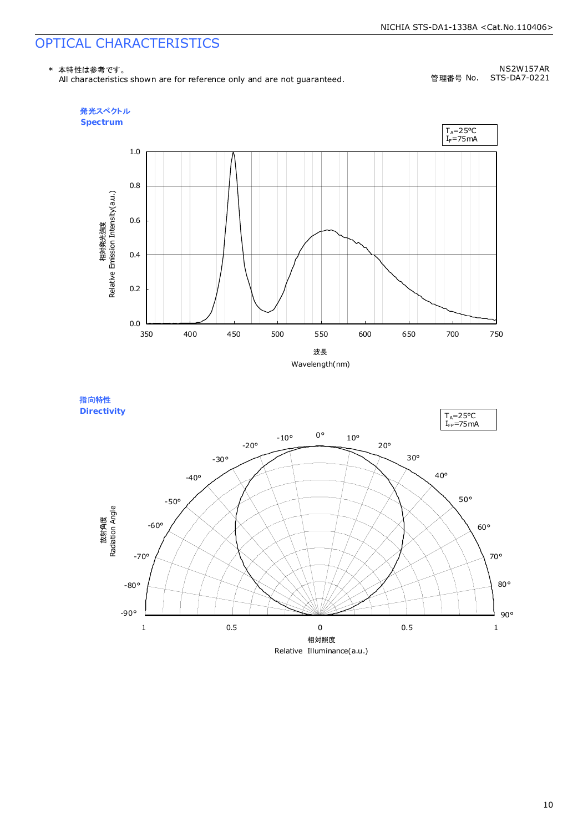## OPTICAL CHARACTERISTICS

\* 本特性は参考です。

All characteristics shown are for reference only and are not guaranteed.

NS2W157AR 管理番号 No. STS-DA7-0221



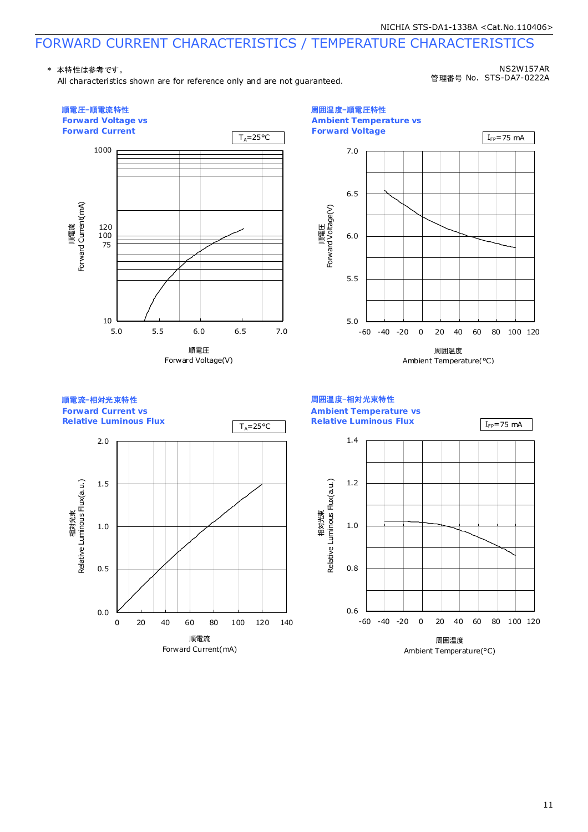# FORWARD CURRENT CHARACTERISTICS / TEMPERATURE CHARACTERISTICS

#### \* 本特性は参考です。

All characteristics shown are for reference only and are not guaranteed.

NS2W157AR 管理番号 No. STS-DA7-0222A



11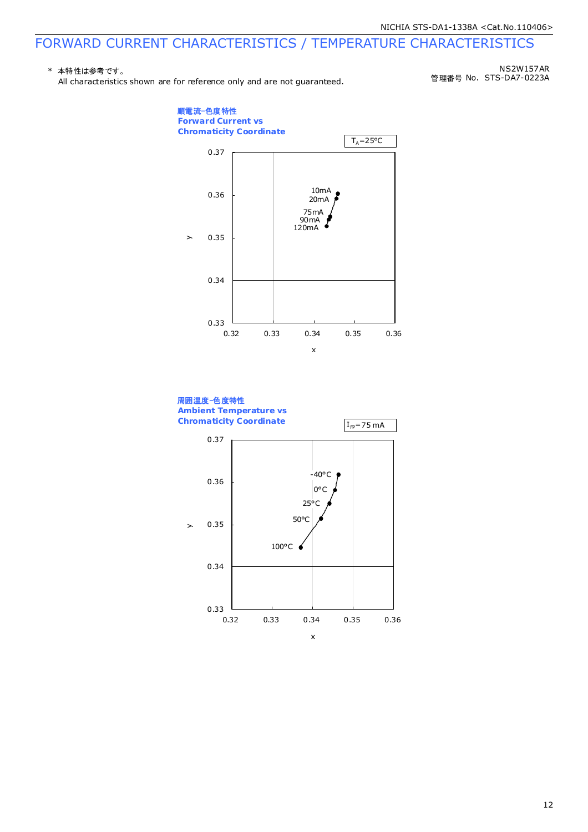### FORWARD CURRENT CHARACTERISTICS / TEMPERATURE CHARACTERISTICS

#### \* 本特性は参考です。

All characteristics shown are for reference only and are not guaranteed.

管理番号 No. STS-DA7-0223A NS2W157AR



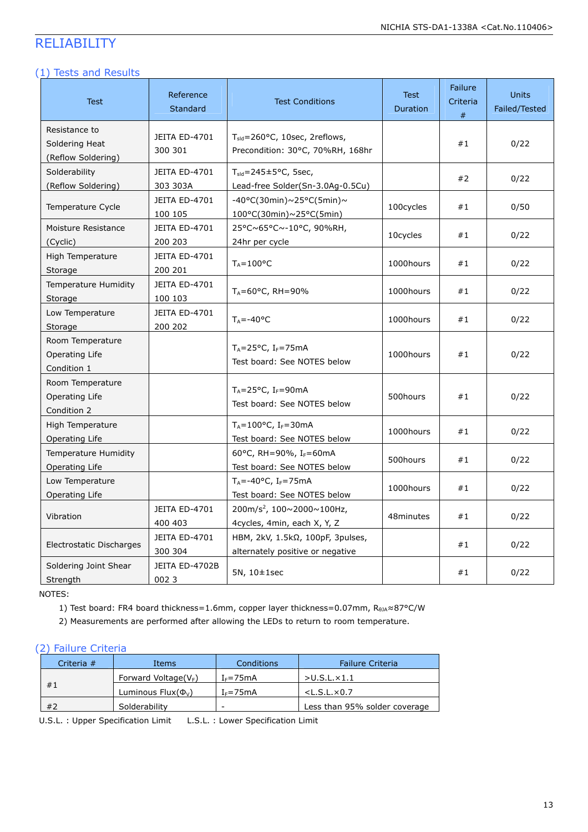## RELIABILITY

#### (1) Tests and Results

| <b>Test</b>                                           | Reference<br>Standard           | <b>Test Conditions</b>                                                             | <b>Test</b><br>Duration | Failure<br>Criteria<br>$\#$ | <b>Units</b><br>Failed/Tested |
|-------------------------------------------------------|---------------------------------|------------------------------------------------------------------------------------|-------------------------|-----------------------------|-------------------------------|
| Resistance to<br>Soldering Heat<br>(Reflow Soldering) | JEITA ED-4701<br>300 301        | T <sub>sid</sub> =260°C, 10sec, 2reflows,<br>Precondition: 30°C, 70%RH, 168hr      |                         | #1                          | 0/22                          |
| Solderability<br>(Reflow Soldering)                   | JEITA ED-4701<br>303 303A       | $T_{\text{sld}}$ =245±5°C, 5sec,<br>Lead-free Solder(Sn-3.0Ag-0.5Cu)               |                         | #2                          | 0/22                          |
| Temperature Cycle                                     | <b>JEITA ED-4701</b><br>100 105 | -40°C(30min)~25°C(5min)~<br>100°C(30min)~25°C(5min)                                | 100cycles               | #1                          | 0/50                          |
| Moisture Resistance<br>(Cyclic)                       | JEITA ED-4701<br>200 203        | 25°C~65°C~-10°C, 90%RH,<br>24hr per cycle                                          | 10cycles                | #1                          | 0/22                          |
| High Temperature<br>Storage                           | JEITA ED-4701<br>200 201        | $T_A = 100$ °C                                                                     | 1000hours               | #1                          | 0/22                          |
| <b>Temperature Humidity</b><br>Storage                | JEITA ED-4701<br>100 103        | $T_A = 60^{\circ}$ C, RH = 90%                                                     | 1000hours               | #1                          | 0/22                          |
| Low Temperature<br>Storage                            | JEITA ED-4701<br>200 202        | $T_A = -40$ °C                                                                     | 1000hours               | #1                          | 0/22                          |
| Room Temperature<br>Operating Life<br>Condition 1     |                                 | $T_A = 25$ °C, I <sub>F</sub> =75mA<br>Test board: See NOTES below                 | 1000hours               | #1                          | 0/22                          |
| Room Temperature<br>Operating Life<br>Condition 2     |                                 | $T_A = 25^{\circ}C$ , I <sub>F</sub> =90mA<br>Test board: See NOTES below          | 500hours                | #1                          | 0/22                          |
| High Temperature<br>Operating Life                    |                                 | $T_A = 100^{\circ}C$ , I <sub>F</sub> =30mA<br>Test board: See NOTES below         | 1000hours               | #1                          | 0/22                          |
| <b>Temperature Humidity</b><br>Operating Life         |                                 | 60°C, RH=90%, I <sub>F</sub> =60mA<br>Test board: See NOTES below                  | 500hours                | #1                          | 0/22                          |
| Low Temperature<br>Operating Life                     |                                 | $T_A = -40$ °C, I <sub>F</sub> =75mA<br>Test board: See NOTES below                | 1000hours               | #1                          | 0/22                          |
| Vibration                                             | JEITA ED-4701<br>400 403        | 200m/s <sup>2</sup> , 100~2000~100Hz,<br>4cycles, 4min, each X, Y, Z               | 48minutes               | #1                          | 0/22                          |
| Electrostatic Discharges                              | JEITA ED-4701<br>300 304        | HBM, $2kV$ , $1.5k\Omega$ , $100pF$ , 3pulses,<br>alternately positive or negative |                         | #1                          | 0/22                          |
| Soldering Joint Shear<br>Strength                     | JEITA ED-4702B<br>002 3         | $5N, 10\pm 1sec$                                                                   |                         | #1                          | 0/22                          |

NOTES:

1) Test board: FR4 board thickness=1.6mm, copper layer thickness=0.07mm, R<sub>0JA</sub>≈87°C/W

2) Measurements are performed after allowing the LEDs to return to room temperature.

#### (2) Failure Criteria

|    | Criteria # | Items                                | Conditions   | <b>Failure Criteria</b>       |
|----|------------|--------------------------------------|--------------|-------------------------------|
|    |            | Forward Voltage( $V_F$ )             | $I_F = 75mA$ | >U.S.L.x1.1                   |
|    | #1         | Luminous Flux( $\Phi$ <sub>V</sub> ) | $I_F = 75mA$ | $<$ L.S.L. $\times$ 0.7       |
| #2 |            | Solderability                        | -            | Less than 95% solder coverage |

U.S.L. : Upper Specification Limit L.S.L. : Lower Specification Limit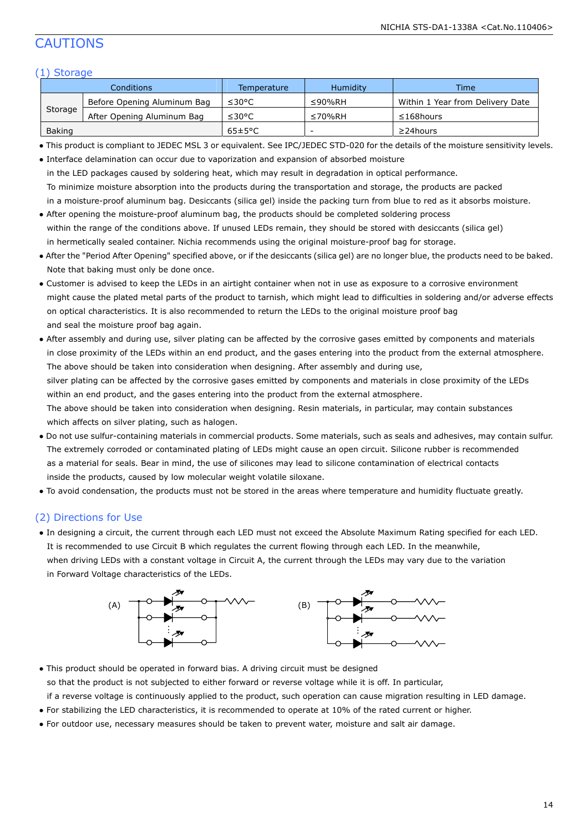### CAUTIONS

#### (1) Storage

| Conditions |                             | Temperature          | <b>Humidity</b> | Time                             |
|------------|-----------------------------|----------------------|-----------------|----------------------------------|
|            | Before Opening Aluminum Bag | ≤30°C                | $\leq$ 90%RH    | Within 1 Year from Delivery Date |
| Storage    | After Opening Aluminum Bag  | ≤30°C                | ≤70%RH          | $\leq$ 168hours                  |
| Baking     |                             | $65 \pm 5^{\circ}$ C | -               | $\geq$ 24 hours                  |

● This product is compliant to JEDEC MSL 3 or equivalent. See IPC/JEDEC STD-020 for the details of the moisture sensitivity levels.

| • Interface delamination can occur due to vaporization and expansion of absorbed moisture                                  |  |  |  |  |
|----------------------------------------------------------------------------------------------------------------------------|--|--|--|--|
| in the LED packages caused by soldering heat, which may result in degradation in optical performance.                      |  |  |  |  |
| To minimize moisture absorption into the products during the transportation and storage, the products are packed           |  |  |  |  |
| in a moisture-proof aluminum bag. Desiccants (silica gel) inside the packing turn from blue to red as it absorbs moisture. |  |  |  |  |

- After opening the moisture-proof aluminum bag, the products should be completed soldering process within the range of the conditions above. If unused LEDs remain, they should be stored with desiccants (silica gel) in hermetically sealed container. Nichia recommends using the original moisture-proof bag for storage.
- After the "Period After Opening" specified above, or if the desiccants (silica gel) are no longer blue, the products need to be baked. Note that baking must only be done once.
- Customer is advised to keep the LEDs in an airtight container when not in use as exposure to a corrosive environment might cause the plated metal parts of the product to tarnish, which might lead to difficulties in soldering and/or adverse effects on optical characteristics. It is also recommended to return the LEDs to the original moisture proof bag and seal the moisture proof bag again.
- After assembly and during use, silver plating can be affected by the corrosive gases emitted by components and materials in close proximity of the LEDs within an end product, and the gases entering into the product from the external atmosphere. The above should be taken into consideration when designing. After assembly and during use, silver plating can be affected by the corrosive gases emitted by components and materials in close proximity of the LEDs within an end product, and the gases entering into the product from the external atmosphere. The above should be taken into consideration when designing. Resin materials, in particular, may contain substances which affects on silver plating, such as halogen.
- Do not use sulfur-containing materials in commercial products. Some materials, such as seals and adhesives, may contain sulfur. The extremely corroded or contaminated plating of LEDs might cause an open circuit. Silicone rubber is recommended as a material for seals. Bear in mind, the use of silicones may lead to silicone contamination of electrical contacts inside the products, caused by low molecular weight volatile siloxane.
- To avoid condensation, the products must not be stored in the areas where temperature and humidity fluctuate greatly.

#### (2) Directions for Use

● In designing a circuit, the current through each LED must not exceed the Absolute Maximum Rating specified for each LED. It is recommended to use Circuit B which regulates the current flowing through each LED. In the meanwhile, when driving LEDs with a constant voltage in Circuit A, the current through the LEDs may vary due to the variation in Forward Voltage characteristics of the LEDs.



• This product should be operated in forward bias. A driving circuit must be designed so that the product is not subjected to either forward or reverse voltage while it is off. In particular, if a reverse voltage is continuously applied to the product, such operation can cause migration resulting in LED damage.

- For stabilizing the LED characteristics, it is recommended to operate at 10% of the rated current or higher.
- For outdoor use, necessary measures should be taken to prevent water, moisture and salt air damage.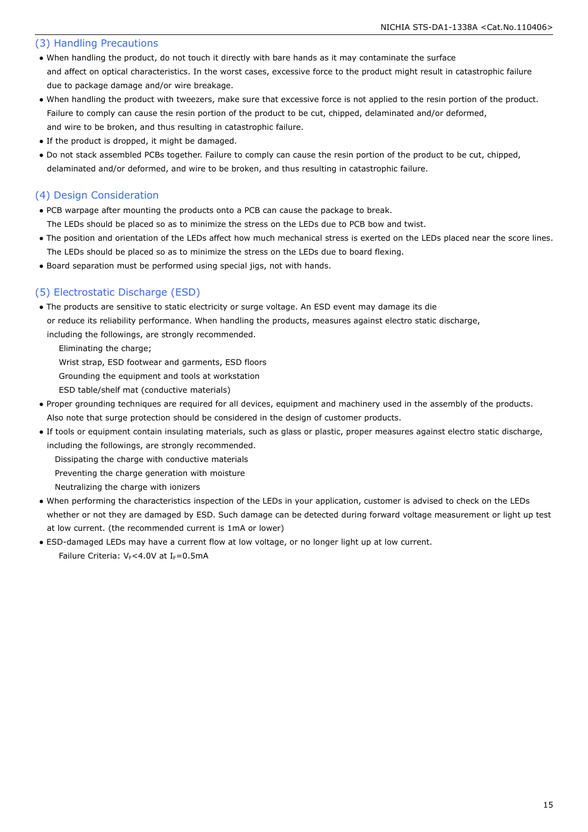#### (3) Handling Precautions

- When handling the product, do not touch it directly with bare hands as it may contaminate the surface and affect on optical characteristics. In the worst cases, excessive force to the product might result in catastrophic failure due to package damage and/or wire breakage.
- When handling the product with tweezers, make sure that excessive force is not applied to the resin portion of the product. Failure to comply can cause the resin portion of the product to be cut, chipped, delaminated and/or deformed, and wire to be broken, and thus resulting in catastrophic failure.
- If the product is dropped, it might be damaged.
- Do not stack assembled PCBs together. Failure to comply can cause the resin portion of the product to be cut, chipped, delaminated and/or deformed, and wire to be broken, and thus resulting in catastrophic failure.

#### (4) Design Consideration

- PCB warpage after mounting the products onto a PCB can cause the package to break. The LEDs should be placed so as to minimize the stress on the LEDs due to PCB bow and twist.
- The position and orientation of the LEDs affect how much mechanical stress is exerted on the LEDs placed near the score lines. The LEDs should be placed so as to minimize the stress on the LEDs due to board flexing.
- Board separation must be performed using special jigs, not with hands.

### (5) Electrostatic Discharge (ESD)

- The products are sensitive to static electricity or surge voltage. An ESD event may damage its die or reduce its reliability performance. When handling the products, measures against electro static discharge,
	- including the followings, are strongly recommended.

Eliminating the charge;

Wrist strap, ESD footwear and garments, ESD floors

Grounding the equipment and tools at workstation

- ESD table/shelf mat (conductive materials)
- Proper grounding techniques are required for all devices, equipment and machinery used in the assembly of the products. Also note that surge protection should be considered in the design of customer products.
- If tools or equipment contain insulating materials, such as glass or plastic, proper measures against electro static discharge, including the followings, are strongly recommended.
	- Dissipating the charge with conductive materials
	- Preventing the charge generation with moisture
	- Neutralizing the charge with ionizers
- When performing the characteristics inspection of the LEDs in your application, customer is advised to check on the LEDs whether or not they are damaged by ESD. Such damage can be detected during forward voltage measurement or light up test at low current. (the recommended current is 1mA or lower)
- ESD-damaged LEDs may have a current flow at low voltage, or no longer light up at low current. Failure Criteria:  $V_F$ <4.0V at I<sub>F</sub>=0.5mA